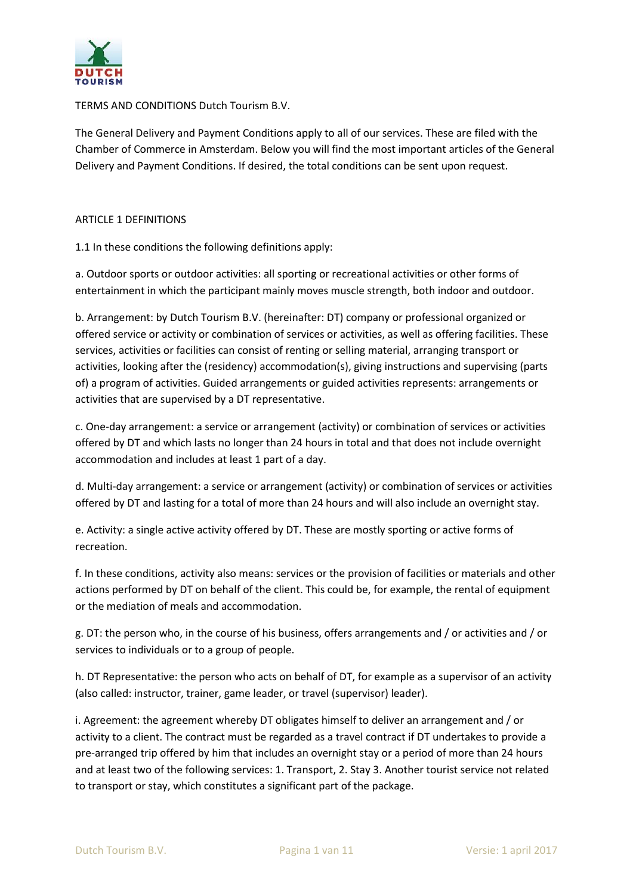

TERMS AND CONDITIONS Dutch Tourism B.V.

The General Delivery and Payment Conditions apply to all of our services. These are filed with the Chamber of Commerce in Amsterdam. Below you will find the most important articles of the General Delivery and Payment Conditions. If desired, the total conditions can be sent upon request.

#### ARTICLE 1 DEFINITIONS

1.1 In these conditions the following definitions apply:

a. Outdoor sports or outdoor activities: all sporting or recreational activities or other forms of entertainment in which the participant mainly moves muscle strength, both indoor and outdoor.

b. Arrangement: by Dutch Tourism B.V. (hereinafter: DT) company or professional organized or offered service or activity or combination of services or activities, as well as offering facilities. These services, activities or facilities can consist of renting or selling material, arranging transport or activities, looking after the (residency) accommodation(s), giving instructions and supervising (parts of) a program of activities. Guided arrangements or guided activities represents: arrangements or activities that are supervised by a DT representative.

c. One-day arrangement: a service or arrangement (activity) or combination of services or activities offered by DT and which lasts no longer than 24 hours in total and that does not include overnight accommodation and includes at least 1 part of a day.

d. Multi-day arrangement: a service or arrangement (activity) or combination of services or activities offered by DT and lasting for a total of more than 24 hours and will also include an overnight stay.

e. Activity: a single active activity offered by DT. These are mostly sporting or active forms of recreation.

f. In these conditions, activity also means: services or the provision of facilities or materials and other actions performed by DT on behalf of the client. This could be, for example, the rental of equipment or the mediation of meals and accommodation.

g. DT: the person who, in the course of his business, offers arrangements and / or activities and / or services to individuals or to a group of people.

h. DT Representative: the person who acts on behalf of DT, for example as a supervisor of an activity (also called: instructor, trainer, game leader, or travel (supervisor) leader).

i. Agreement: the agreement whereby DT obligates himself to deliver an arrangement and / or activity to a client. The contract must be regarded as a travel contract if DT undertakes to provide a pre-arranged trip offered by him that includes an overnight stay or a period of more than 24 hours and at least two of the following services: 1. Transport, 2. Stay 3. Another tourist service not related to transport or stay, which constitutes a significant part of the package.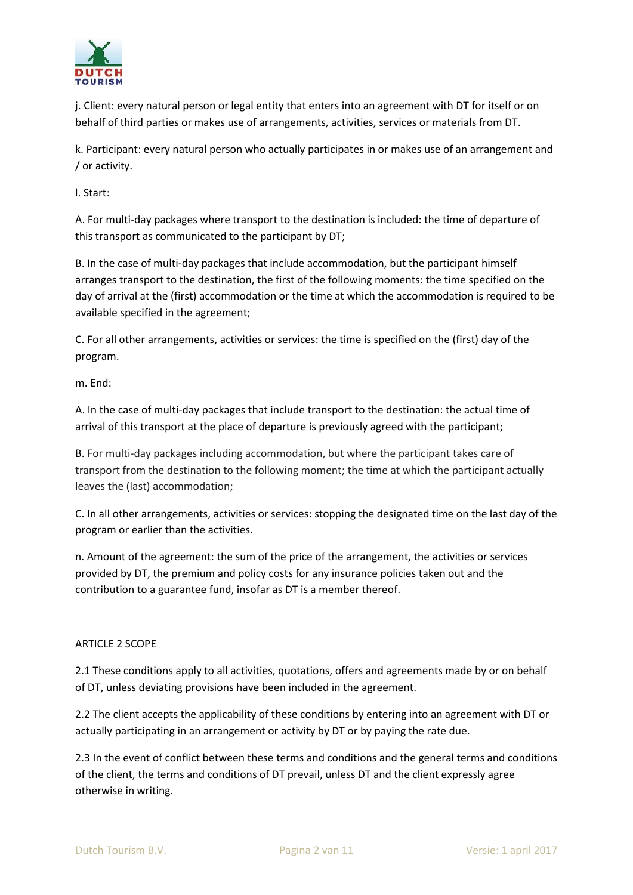

j. Client: every natural person or legal entity that enters into an agreement with DT for itself or on behalf of third parties or makes use of arrangements, activities, services or materials from DT.

k. Participant: every natural person who actually participates in or makes use of an arrangement and / or activity.

l. Start:

A. For multi-day packages where transport to the destination is included: the time of departure of this transport as communicated to the participant by DT;

B. In the case of multi-day packages that include accommodation, but the participant himself arranges transport to the destination, the first of the following moments: the time specified on the day of arrival at the (first) accommodation or the time at which the accommodation is required to be available specified in the agreement;

C. For all other arrangements, activities or services: the time is specified on the (first) day of the program.

m. End:

A. In the case of multi-day packages that include transport to the destination: the actual time of arrival of this transport at the place of departure is previously agreed with the participant;

B. For multi-day packages including accommodation, but where the participant takes care of transport from the destination to the following moment; the time at which the participant actually leaves the (last) accommodation;

C. In all other arrangements, activities or services: stopping the designated time on the last day of the program or earlier than the activities.

n. Amount of the agreement: the sum of the price of the arrangement, the activities or services provided by DT, the premium and policy costs for any insurance policies taken out and the contribution to a guarantee fund, insofar as DT is a member thereof.

# ARTICLE 2 SCOPE

2.1 These conditions apply to all activities, quotations, offers and agreements made by or on behalf of DT, unless deviating provisions have been included in the agreement.

2.2 The client accepts the applicability of these conditions by entering into an agreement with DT or actually participating in an arrangement or activity by DT or by paying the rate due.

2.3 In the event of conflict between these terms and conditions and the general terms and conditions of the client, the terms and conditions of DT prevail, unless DT and the client expressly agree otherwise in writing.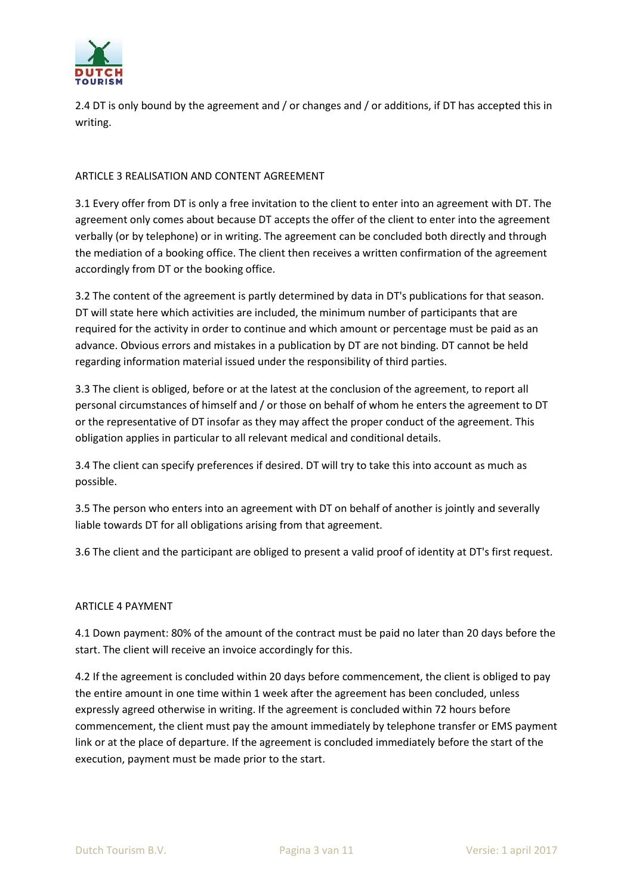

2.4 DT is only bound by the agreement and / or changes and / or additions, if DT has accepted this in writing.

## ARTICLE 3 REALISATION AND CONTENT AGREEMENT

3.1 Every offer from DT is only a free invitation to the client to enter into an agreement with DT. The agreement only comes about because DT accepts the offer of the client to enter into the agreement verbally (or by telephone) or in writing. The agreement can be concluded both directly and through the mediation of a booking office. The client then receives a written confirmation of the agreement accordingly from DT or the booking office.

3.2 The content of the agreement is partly determined by data in DT's publications for that season. DT will state here which activities are included, the minimum number of participants that are required for the activity in order to continue and which amount or percentage must be paid as an advance. Obvious errors and mistakes in a publication by DT are not binding. DT cannot be held regarding information material issued under the responsibility of third parties.

3.3 The client is obliged, before or at the latest at the conclusion of the agreement, to report all personal circumstances of himself and / or those on behalf of whom he enters the agreement to DT or the representative of DT insofar as they may affect the proper conduct of the agreement. This obligation applies in particular to all relevant medical and conditional details.

3.4 The client can specify preferences if desired. DT will try to take this into account as much as possible.

3.5 The person who enters into an agreement with DT on behalf of another is jointly and severally liable towards DT for all obligations arising from that agreement.

3.6 The client and the participant are obliged to present a valid proof of identity at DT's first request.

### ARTICLE 4 PAYMENT

4.1 Down payment: 80% of the amount of the contract must be paid no later than 20 days before the start. The client will receive an invoice accordingly for this.

4.2 If the agreement is concluded within 20 days before commencement, the client is obliged to pay the entire amount in one time within 1 week after the agreement has been concluded, unless expressly agreed otherwise in writing. If the agreement is concluded within 72 hours before commencement, the client must pay the amount immediately by telephone transfer or EMS payment link or at the place of departure. If the agreement is concluded immediately before the start of the execution, payment must be made prior to the start.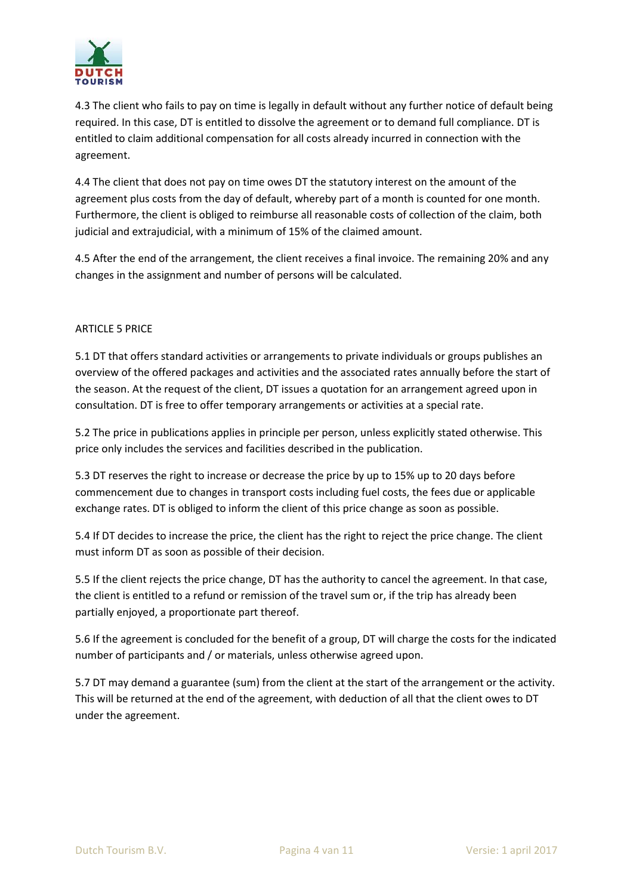

4.3 The client who fails to pay on time is legally in default without any further notice of default being required. In this case, DT is entitled to dissolve the agreement or to demand full compliance. DT is entitled to claim additional compensation for all costs already incurred in connection with the agreement.

4.4 The client that does not pay on time owes DT the statutory interest on the amount of the agreement plus costs from the day of default, whereby part of a month is counted for one month. Furthermore, the client is obliged to reimburse all reasonable costs of collection of the claim, both judicial and extrajudicial, with a minimum of 15% of the claimed amount.

4.5 After the end of the arrangement, the client receives a final invoice. The remaining 20% and any changes in the assignment and number of persons will be calculated.

## ARTICLE 5 PRICE

5.1 DT that offers standard activities or arrangements to private individuals or groups publishes an overview of the offered packages and activities and the associated rates annually before the start of the season. At the request of the client, DT issues a quotation for an arrangement agreed upon in consultation. DT is free to offer temporary arrangements or activities at a special rate.

5.2 The price in publications applies in principle per person, unless explicitly stated otherwise. This price only includes the services and facilities described in the publication.

5.3 DT reserves the right to increase or decrease the price by up to 15% up to 20 days before commencement due to changes in transport costs including fuel costs, the fees due or applicable exchange rates. DT is obliged to inform the client of this price change as soon as possible.

5.4 If DT decides to increase the price, the client has the right to reject the price change. The client must inform DT as soon as possible of their decision.

5.5 If the client rejects the price change, DT has the authority to cancel the agreement. In that case, the client is entitled to a refund or remission of the travel sum or, if the trip has already been partially enjoyed, a proportionate part thereof.

5.6 If the agreement is concluded for the benefit of a group, DT will charge the costs for the indicated number of participants and / or materials, unless otherwise agreed upon.

5.7 DT may demand a guarantee (sum) from the client at the start of the arrangement or the activity. This will be returned at the end of the agreement, with deduction of all that the client owes to DT under the agreement.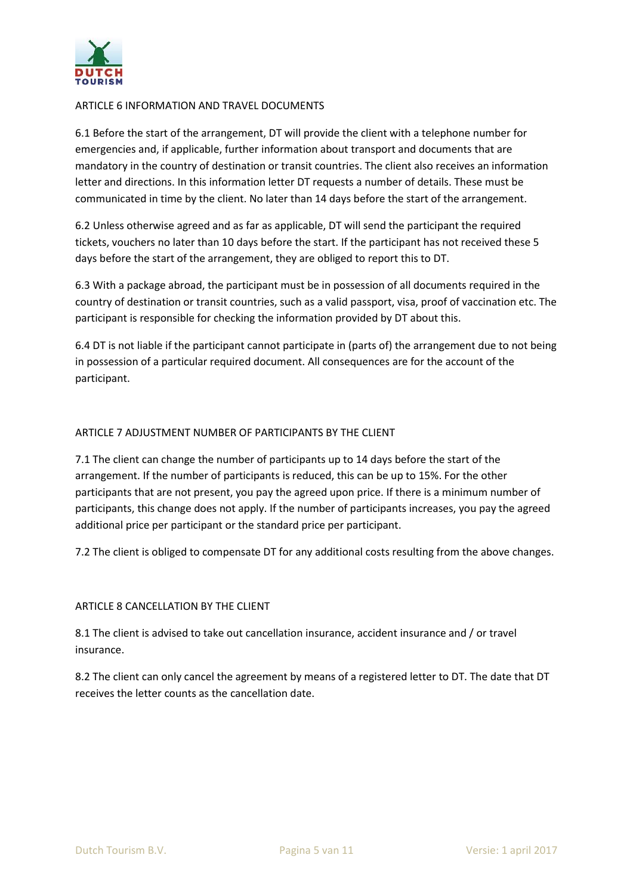

### ARTICLE 6 INFORMATION AND TRAVEL DOCUMENTS

6.1 Before the start of the arrangement, DT will provide the client with a telephone number for emergencies and, if applicable, further information about transport and documents that are mandatory in the country of destination or transit countries. The client also receives an information letter and directions. In this information letter DT requests a number of details. These must be communicated in time by the client. No later than 14 days before the start of the arrangement.

6.2 Unless otherwise agreed and as far as applicable, DT will send the participant the required tickets, vouchers no later than 10 days before the start. If the participant has not received these 5 days before the start of the arrangement, they are obliged to report this to DT.

6.3 With a package abroad, the participant must be in possession of all documents required in the country of destination or transit countries, such as a valid passport, visa, proof of vaccination etc. The participant is responsible for checking the information provided by DT about this.

6.4 DT is not liable if the participant cannot participate in (parts of) the arrangement due to not being in possession of a particular required document. All consequences are for the account of the participant.

## ARTICLE 7 ADJUSTMENT NUMBER OF PARTICIPANTS BY THE CLIENT

7.1 The client can change the number of participants up to 14 days before the start of the arrangement. If the number of participants is reduced, this can be up to 15%. For the other participants that are not present, you pay the agreed upon price. If there is a minimum number of participants, this change does not apply. If the number of participants increases, you pay the agreed additional price per participant or the standard price per participant.

7.2 The client is obliged to compensate DT for any additional costs resulting from the above changes.

### ARTICLE 8 CANCELLATION BY THE CLIENT

8.1 The client is advised to take out cancellation insurance, accident insurance and / or travel insurance.

8.2 The client can only cancel the agreement by means of a registered letter to DT. The date that DT receives the letter counts as the cancellation date.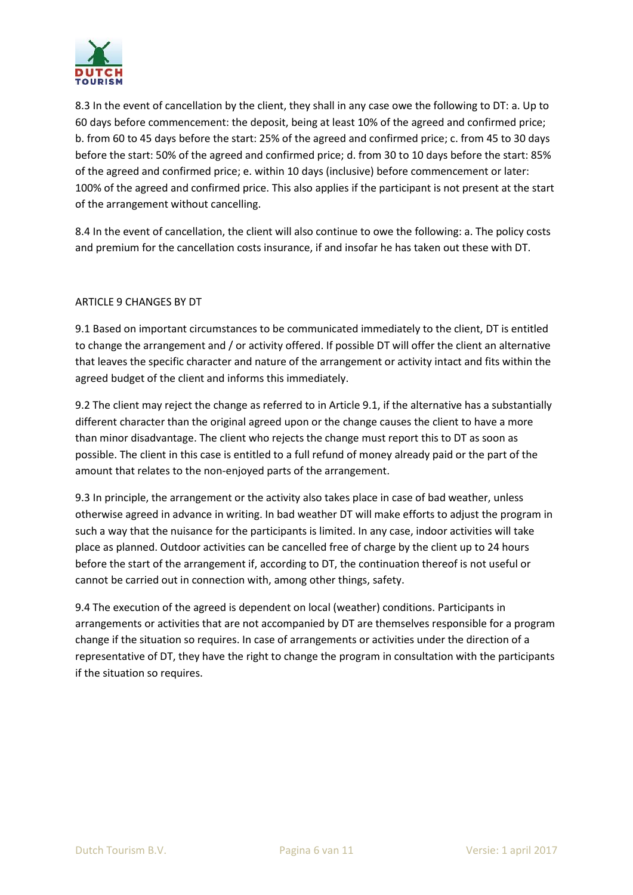

8.3 In the event of cancellation by the client, they shall in any case owe the following to DT: a. Up to 60 days before commencement: the deposit, being at least 10% of the agreed and confirmed price; b. from 60 to 45 days before the start: 25% of the agreed and confirmed price; c. from 45 to 30 days before the start: 50% of the agreed and confirmed price; d. from 30 to 10 days before the start: 85% of the agreed and confirmed price; e. within 10 days (inclusive) before commencement or later: 100% of the agreed and confirmed price. This also applies if the participant is not present at the start of the arrangement without cancelling.

8.4 In the event of cancellation, the client will also continue to owe the following: a. The policy costs and premium for the cancellation costs insurance, if and insofar he has taken out these with DT.

## ARTICLE 9 CHANGES BY DT

9.1 Based on important circumstances to be communicated immediately to the client, DT is entitled to change the arrangement and / or activity offered. If possible DT will offer the client an alternative that leaves the specific character and nature of the arrangement or activity intact and fits within the agreed budget of the client and informs this immediately.

9.2 The client may reject the change as referred to in Article 9.1, if the alternative has a substantially different character than the original agreed upon or the change causes the client to have a more than minor disadvantage. The client who rejects the change must report this to DT as soon as possible. The client in this case is entitled to a full refund of money already paid or the part of the amount that relates to the non-enjoyed parts of the arrangement.

9.3 In principle, the arrangement or the activity also takes place in case of bad weather, unless otherwise agreed in advance in writing. In bad weather DT will make efforts to adjust the program in such a way that the nuisance for the participants is limited. In any case, indoor activities will take place as planned. Outdoor activities can be cancelled free of charge by the client up to 24 hours before the start of the arrangement if, according to DT, the continuation thereof is not useful or cannot be carried out in connection with, among other things, safety.

9.4 The execution of the agreed is dependent on local (weather) conditions. Participants in arrangements or activities that are not accompanied by DT are themselves responsible for a program change if the situation so requires. In case of arrangements or activities under the direction of a representative of DT, they have the right to change the program in consultation with the participants if the situation so requires.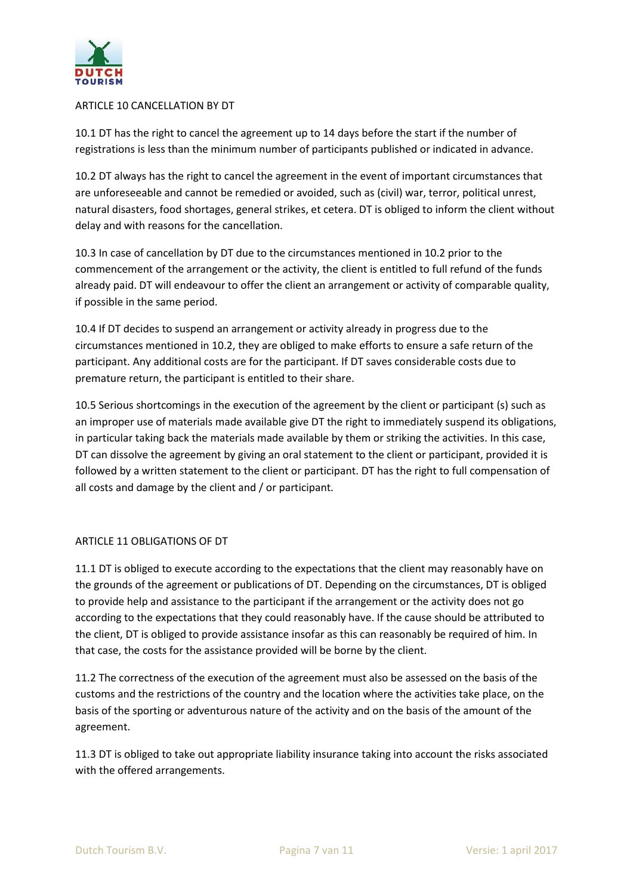

### ARTICLE 10 CANCELLATION BY DT

10.1 DT has the right to cancel the agreement up to 14 days before the start if the number of registrations is less than the minimum number of participants published or indicated in advance.

10.2 DT always has the right to cancel the agreement in the event of important circumstances that are unforeseeable and cannot be remedied or avoided, such as (civil) war, terror, political unrest, natural disasters, food shortages, general strikes, et cetera. DT is obliged to inform the client without delay and with reasons for the cancellation.

10.3 In case of cancellation by DT due to the circumstances mentioned in 10.2 prior to the commencement of the arrangement or the activity, the client is entitled to full refund of the funds already paid. DT will endeavour to offer the client an arrangement or activity of comparable quality, if possible in the same period.

10.4 If DT decides to suspend an arrangement or activity already in progress due to the circumstances mentioned in 10.2, they are obliged to make efforts to ensure a safe return of the participant. Any additional costs are for the participant. If DT saves considerable costs due to premature return, the participant is entitled to their share.

10.5 Serious shortcomings in the execution of the agreement by the client or participant (s) such as an improper use of materials made available give DT the right to immediately suspend its obligations, in particular taking back the materials made available by them or striking the activities. In this case, DT can dissolve the agreement by giving an oral statement to the client or participant, provided it is followed by a written statement to the client or participant. DT has the right to full compensation of all costs and damage by the client and / or participant.

# ARTICLE 11 OBLIGATIONS OF DT

11.1 DT is obliged to execute according to the expectations that the client may reasonably have on the grounds of the agreement or publications of DT. Depending on the circumstances, DT is obliged to provide help and assistance to the participant if the arrangement or the activity does not go according to the expectations that they could reasonably have. If the cause should be attributed to the client, DT is obliged to provide assistance insofar as this can reasonably be required of him. In that case, the costs for the assistance provided will be borne by the client.

11.2 The correctness of the execution of the agreement must also be assessed on the basis of the customs and the restrictions of the country and the location where the activities take place, on the basis of the sporting or adventurous nature of the activity and on the basis of the amount of the agreement.

11.3 DT is obliged to take out appropriate liability insurance taking into account the risks associated with the offered arrangements.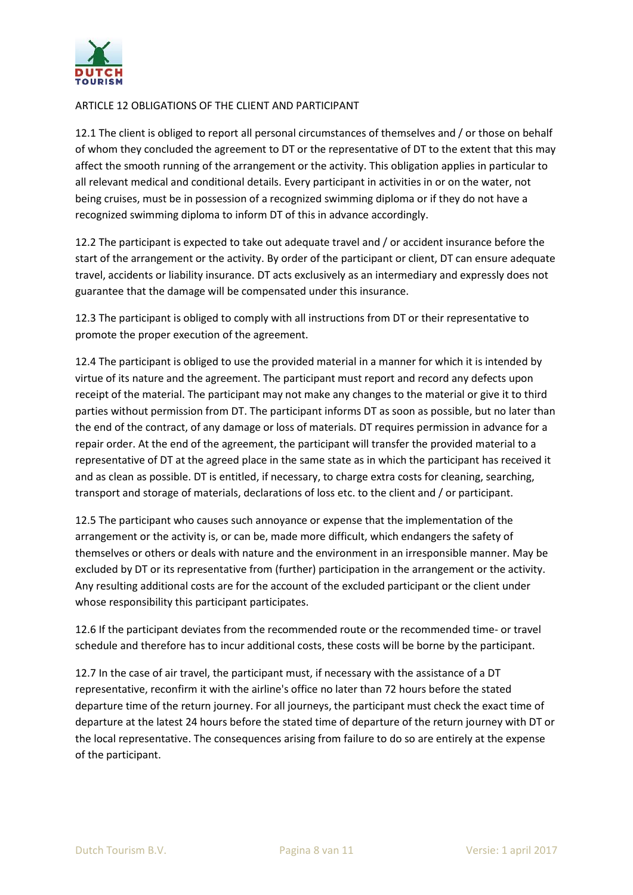

## ARTICLE 12 OBLIGATIONS OF THE CLIENT AND PARTICIPANT

12.1 The client is obliged to report all personal circumstances of themselves and / or those on behalf of whom they concluded the agreement to DT or the representative of DT to the extent that this may affect the smooth running of the arrangement or the activity. This obligation applies in particular to all relevant medical and conditional details. Every participant in activities in or on the water, not being cruises, must be in possession of a recognized swimming diploma or if they do not have a recognized swimming diploma to inform DT of this in advance accordingly.

12.2 The participant is expected to take out adequate travel and / or accident insurance before the start of the arrangement or the activity. By order of the participant or client, DT can ensure adequate travel, accidents or liability insurance. DT acts exclusively as an intermediary and expressly does not guarantee that the damage will be compensated under this insurance.

12.3 The participant is obliged to comply with all instructions from DT or their representative to promote the proper execution of the agreement.

12.4 The participant is obliged to use the provided material in a manner for which it is intended by virtue of its nature and the agreement. The participant must report and record any defects upon receipt of the material. The participant may not make any changes to the material or give it to third parties without permission from DT. The participant informs DT as soon as possible, but no later than the end of the contract, of any damage or loss of materials. DT requires permission in advance for a repair order. At the end of the agreement, the participant will transfer the provided material to a representative of DT at the agreed place in the same state as in which the participant has received it and as clean as possible. DT is entitled, if necessary, to charge extra costs for cleaning, searching, transport and storage of materials, declarations of loss etc. to the client and / or participant.

12.5 The participant who causes such annoyance or expense that the implementation of the arrangement or the activity is, or can be, made more difficult, which endangers the safety of themselves or others or deals with nature and the environment in an irresponsible manner. May be excluded by DT or its representative from (further) participation in the arrangement or the activity. Any resulting additional costs are for the account of the excluded participant or the client under whose responsibility this participant participates.

12.6 If the participant deviates from the recommended route or the recommended time- or travel schedule and therefore has to incur additional costs, these costs will be borne by the participant.

12.7 In the case of air travel, the participant must, if necessary with the assistance of a DT representative, reconfirm it with the airline's office no later than 72 hours before the stated departure time of the return journey. For all journeys, the participant must check the exact time of departure at the latest 24 hours before the stated time of departure of the return journey with DT or the local representative. The consequences arising from failure to do so are entirely at the expense of the participant.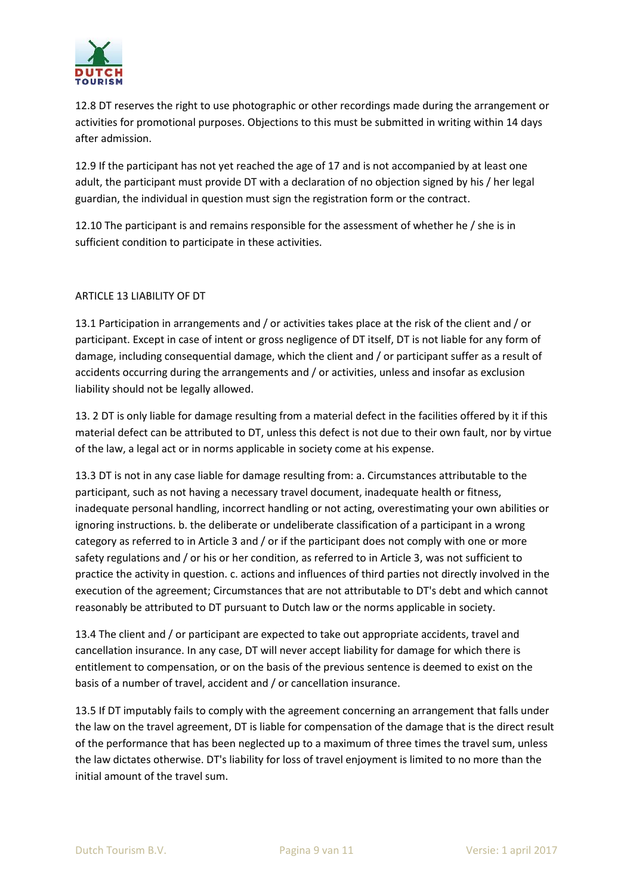

12.8 DT reserves the right to use photographic or other recordings made during the arrangement or activities for promotional purposes. Objections to this must be submitted in writing within 14 days after admission.

12.9 If the participant has not yet reached the age of 17 and is not accompanied by at least one adult, the participant must provide DT with a declaration of no objection signed by his / her legal guardian, the individual in question must sign the registration form or the contract.

12.10 The participant is and remains responsible for the assessment of whether he / she is in sufficient condition to participate in these activities.

### ARTICLE 13 LIABILITY OF DT

13.1 Participation in arrangements and / or activities takes place at the risk of the client and / or participant. Except in case of intent or gross negligence of DT itself, DT is not liable for any form of damage, including consequential damage, which the client and / or participant suffer as a result of accidents occurring during the arrangements and / or activities, unless and insofar as exclusion liability should not be legally allowed.

13. 2 DT is only liable for damage resulting from a material defect in the facilities offered by it if this material defect can be attributed to DT, unless this defect is not due to their own fault, nor by virtue of the law, a legal act or in norms applicable in society come at his expense.

13.3 DT is not in any case liable for damage resulting from: a. Circumstances attributable to the participant, such as not having a necessary travel document, inadequate health or fitness, inadequate personal handling, incorrect handling or not acting, overestimating your own abilities or ignoring instructions. b. the deliberate or undeliberate classification of a participant in a wrong category as referred to in Article 3 and / or if the participant does not comply with one or more safety regulations and / or his or her condition, as referred to in Article 3, was not sufficient to practice the activity in question. c. actions and influences of third parties not directly involved in the execution of the agreement; Circumstances that are not attributable to DT's debt and which cannot reasonably be attributed to DT pursuant to Dutch law or the norms applicable in society.

13.4 The client and / or participant are expected to take out appropriate accidents, travel and cancellation insurance. In any case, DT will never accept liability for damage for which there is entitlement to compensation, or on the basis of the previous sentence is deemed to exist on the basis of a number of travel, accident and / or cancellation insurance.

13.5 If DT imputably fails to comply with the agreement concerning an arrangement that falls under the law on the travel agreement, DT is liable for compensation of the damage that is the direct result of the performance that has been neglected up to a maximum of three times the travel sum, unless the law dictates otherwise. DT's liability for loss of travel enjoyment is limited to no more than the initial amount of the travel sum.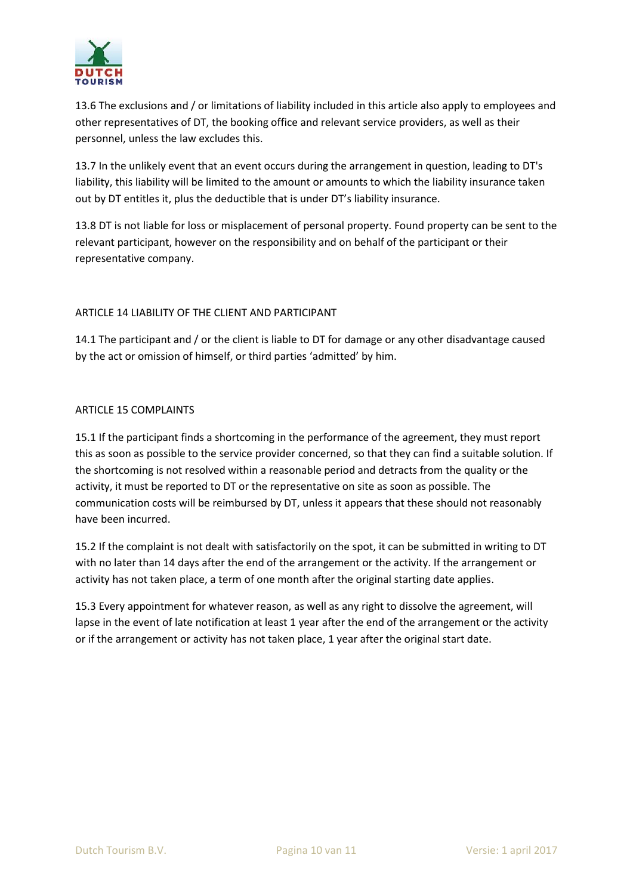

13.6 The exclusions and / or limitations of liability included in this article also apply to employees and other representatives of DT, the booking office and relevant service providers, as well as their personnel, unless the law excludes this.

13.7 In the unlikely event that an event occurs during the arrangement in question, leading to DT's liability, this liability will be limited to the amount or amounts to which the liability insurance taken out by DT entitles it, plus the deductible that is under DT's liability insurance.

13.8 DT is not liable for loss or misplacement of personal property. Found property can be sent to the relevant participant, however on the responsibility and on behalf of the participant or their representative company.

# ARTICLE 14 LIABILITY OF THE CLIENT AND PARTICIPANT

14.1 The participant and / or the client is liable to DT for damage or any other disadvantage caused by the act or omission of himself, or third parties 'admitted' by him.

## ARTICLE 15 COMPLAINTS

15.1 If the participant finds a shortcoming in the performance of the agreement, they must report this as soon as possible to the service provider concerned, so that they can find a suitable solution. If the shortcoming is not resolved within a reasonable period and detracts from the quality or the activity, it must be reported to DT or the representative on site as soon as possible. The communication costs will be reimbursed by DT, unless it appears that these should not reasonably have been incurred.

15.2 If the complaint is not dealt with satisfactorily on the spot, it can be submitted in writing to DT with no later than 14 days after the end of the arrangement or the activity. If the arrangement or activity has not taken place, a term of one month after the original starting date applies.

15.3 Every appointment for whatever reason, as well as any right to dissolve the agreement, will lapse in the event of late notification at least 1 year after the end of the arrangement or the activity or if the arrangement or activity has not taken place, 1 year after the original start date.